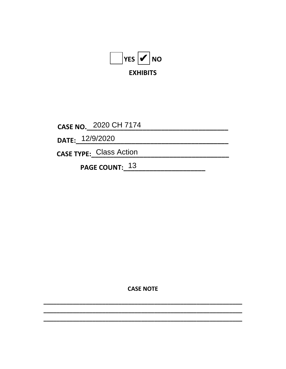

CASE NO. 2020 CH 7174

DATE: 12/9/2020

CASE TYPE: Class Action

PAGE COUNT: 13

**CASE NOTE**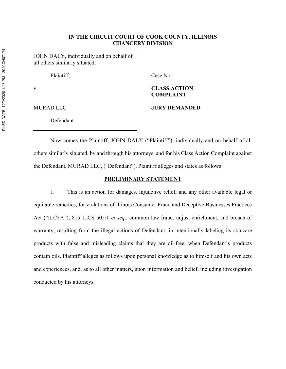### IN THE CIRCUIT COURT OF COOK COUNTY, ILLINOIS CHANCERY DIVISION

JOHN DALY, individually and on behalf of all others similarly situated,

Defendant.

Plaintiff, Case No.

# v. CLASS ACTION COMPLAINT

#### MURAD LLC. **IT IS A REAL PROPERTY OF A REAL PROPERTY OF A REAL PROPERTY OF A REAL PROPERTY OF A REAL PROPERTY**

Now comes the Plaintiff, JOHN DALY ("Plaintiff"), individually and on behalf of all others similarly situated, by and through his attorneys, and for his Class Action Complaint against the Defendant, MURAD LLC, ("Defendant"), Plaintiff alleges and states as follows:

# PRELIMINARY STATEMENT

1. This is an action for damages, injunctive relief, and any other available legal or equitable remedies, for violations of Illinois Consumer Fraud and Deceptive Businesses Practices Act ("ILCFA"), 815 ILCS 505/1 et seq., common law fraud, unjust enrichment, and breach of warranty, resulting from the illegal actions of Defendant, in intentionally labeling its skincare products with false and misleading claims that they are oil-free, when Defendant's products contain oils. Plaintiff alleges as follows upon personal knowledge as to himself and his own acts and experiences, and, as to all other matters, upon information and belief, including investigation conducted by his attorneys.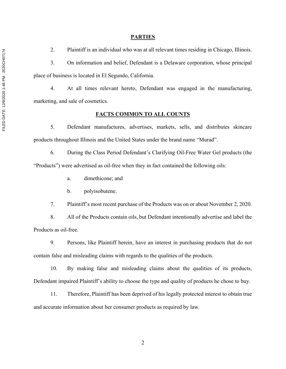#### **PARTIES**

2. Plaintiff is an individual who was at all relevant times residing in Chicago, Illinois.

3. On information and belief, Defendant is a Delaware corporation, whose principal place of business is located in El Segundo, California.

4. At all times relevant hereto, Defendant was engaged in the manufacturing, marketing, and sale of cosmetics.

#### FACTS COMMON TO ALL COUNTS

5. Defendant manufactures, advertises, markets, sells, and distributes skincare products throughout Illinois and the United States under the brand name "Murad".

6. During the Class Period Defendant's Clarifying Oil-Free Water Gel products (the "Products") were advertised as oil-free when they in fact contained the following oils:

- a. dimethicone; and
- b. polyisobutene.

7. Plaintiff's most recent purchase of the Products was on or about November 2, 2020.

8. All of the Products contain oils, but Defendant intentionally advertise and label the Products as oil-free.

9. Persons, like Plaintiff herein, have an interest in purchasing products that do not contain false and misleading claims with regards to the qualities of the products.

10. By making false and misleading claims about the qualities of its products, Defendant impaired Plaintiff's ability to choose the type and quality of products he chose to buy.

11. Therefore, Plaintiff has been deprived of his legally protected interest to obtain true and accurate information about her consumer products as required by law.

2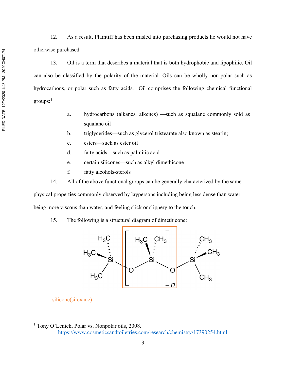12. As a result, Plaintiff has been misled into purchasing products he would not have otherwise purchased.

13. Oil is a term that describes a material that is both hydrophobic and lipophilic. Oil can also be classified by the polarity of the material. Oils can be wholly non-polar such as hydrocarbons, or polar such as fatty acids. Oil comprises the following chemical functional  $groups:$ <sup>1</sup>

- a. hydrocarbons (alkanes, alkenes) —such as squalane commonly sold as squalane oil
- b. triglycerides—such as glycerol tristearate also known as stearin;
- c. esters—such as ester oil
- d. fatty acids—such as palmitic acid
- e. certain silicones—such as alkyl dimethicone
- f. fatty alcohols-sterols
- 14. All of the above functional groups can be generally characterized by the same

physical properties commonly observed by laypersons including being less dense than water, being more viscous than water, and feeling slick or slippery to the touch.

15. The following is a structural diagram of dimethicone:



-silicone(siloxane)

<sup>&</sup>lt;sup>1</sup> Tony O'Lenick, Polar vs. Nonpolar oils, 2008. https://www.cosmeticsandtoiletries.com/research/chemistry/17390254.html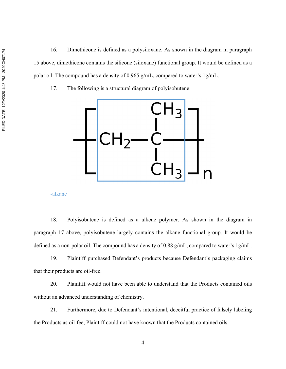16. Dimethicone is defined as a polysiloxane. As shown in the diagram in paragraph 15 above, dimethicone contains the silicone (siloxane) functional group. It would be defined as a polar oil. The compound has a density of 0.965 g/mL, compared to water's 1g/mL.

17. The following is a structural diagram of polyisobutene:



-alkane

18. Polyisobutene is defined as a alkene polymer. As shown in the diagram in paragraph 17 above, polyisobutene largely contains the alkane functional group. It would be defined as a non-polar oil. The compound has a density of 0.88 g/mL, compared to water's 1g/mL.

19. Plaintiff purchased Defendant's products because Defendant's packaging claims that their products are oil-free.

20. Plaintiff would not have been able to understand that the Products contained oils without an advanced understanding of chemistry.

21. Furthermore, due to Defendant's intentional, deceitful practice of falsely labeling the Products as oil-fee, Plaintiff could not have known that the Products contained oils.

4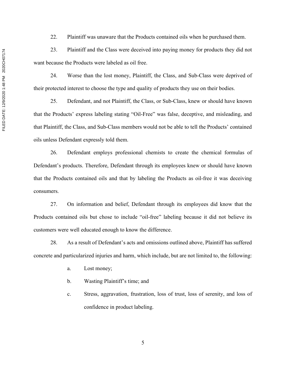23. Plaintiff and the Class were deceived into paying money for products they did not want because the Products were labeled as oil free.

24. Worse than the lost money, Plaintiff, the Class, and Sub-Class were deprived of their protected interest to choose the type and quality of products they use on their bodies.

25. Defendant, and not Plaintiff, the Class, or Sub-Class, knew or should have known that the Products' express labeling stating "Oil-Free" was false, deceptive, and misleading, and that Plaintiff, the Class, and Sub-Class members would not be able to tell the Products' contained oils unless Defendant expressly told them.

26. Defendant employs professional chemists to create the chemical formulas of Defendant's products. Therefore, Defendant through its employees knew or should have known that the Products contained oils and that by labeling the Products as oil-free it was deceiving consumers.

27. On information and belief, Defendant through its employees did know that the Products contained oils but chose to include "oil-free" labeling because it did not believe its customers were well educated enough to know the difference.

28. As a result of Defendant's acts and omissions outlined above, Plaintiff has suffered concrete and particularized injuries and harm, which include, but are not limited to, the following:

- a. Lost money;
- b. Wasting Plaintiff's time; and
- c. Stress, aggravation, frustration, loss of trust, loss of serenity, and loss of confidence in product labeling.

FILED DATE: 12/9/2020 1:48 PM 2020CH07174 FILED DATE: 12/9/2020 1:48 PM 2020CH07174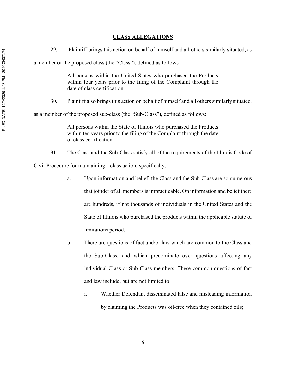## CLASS ALLEGATIONS

29. Plaintiff brings this action on behalf of himself and all others similarly situated, as

a member of the proposed class (the "Class"), defined as follows:

All persons within the United States who purchased the Products within four years prior to the filing of the Complaint through the date of class certification.

30. Plaintiff also brings this action on behalf of himself and all others similarly situated,

as a member of the proposed sub-class (the "Sub-Class"), defined as follows:

All persons within the State of Illinois who purchased the Products within ten years prior to the filing of the Complaint through the date of class certification.

31. The Class and the Sub-Class satisfy all of the requirements of the Illinois Code of Civil Procedure for maintaining a class action, specifically:

- a. Upon information and belief, the Class and the Sub-Class are so numerous that joinder of all members is impracticable. On information and belief there are hundreds, if not thousands of individuals in the United States and the State of Illinois who purchased the products within the applicable statute of limitations period.
- b. There are questions of fact and/or law which are common to the Class and the Sub-Class, and which predominate over questions affecting any individual Class or Sub-Class members. These common questions of fact and law include, but are not limited to:
	- i. Whether Defendant disseminated false and misleading information by claiming the Products was oil-free when they contained oils;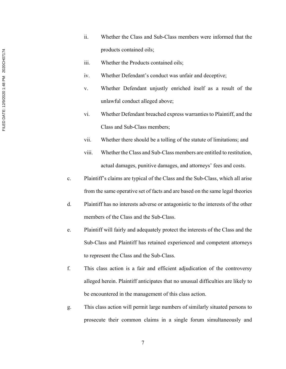- ii. Whether the Class and Sub-Class members were informed that the products contained oils;
- iii. Whether the Products contained oils;
- iv. Whether Defendant's conduct was unfair and deceptive;
- v. Whether Defendant unjustly enriched itself as a result of the unlawful conduct alleged above;
- vi. Whether Defendant breached express warranties to Plaintiff, and the Class and Sub-Class members;
- vii. Whether there should be a tolling of the statute of limitations; and
- viii. Whether the Class and Sub-Class members are entitled to restitution, actual damages, punitive damages, and attorneys' fees and costs.
- c. Plaintiff's claims are typical of the Class and the Sub-Class, which all arise from the same operative set of facts and are based on the same legal theories
- d. Plaintiff has no interests adverse or antagonistic to the interests of the other members of the Class and the Sub-Class.
- e. Plaintiff will fairly and adequately protect the interests of the Class and the Sub-Class and Plaintiff has retained experienced and competent attorneys to represent the Class and the Sub-Class.
- f. This class action is a fair and efficient adjudication of the controversy alleged herein. Plaintiff anticipates that no unusual difficulties are likely to be encountered in the management of this class action.
- g. This class action will permit large numbers of similarly situated persons to prosecute their common claims in a single forum simultaneously and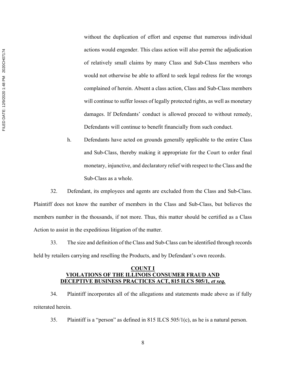FILED DATE: 12/9/2020 1:48 PM 2020CH07174 FILED DATE: 12/9/2020 1:48 PM 2020CH07174

without the duplication of effort and expense that numerous individual actions would engender. This class action will also permit the adjudication of relatively small claims by many Class and Sub-Class members who would not otherwise be able to afford to seek legal redress for the wrongs complained of herein. Absent a class action, Class and Sub-Class members will continue to suffer losses of legally protected rights, as well as monetary damages. If Defendants' conduct is allowed proceed to without remedy, Defendants will continue to benefit financially from such conduct.

h. Defendants have acted on grounds generally applicable to the entire Class and Sub-Class, thereby making it appropriate for the Court to order final monetary, injunctive, and declaratory relief with respect to the Class and the Sub-Class as a whole.

32. Defendant, its employees and agents are excluded from the Class and Sub-Class. Plaintiff does not know the number of members in the Class and Sub-Class, but believes the members number in the thousands, if not more. Thus, this matter should be certified as a Class Action to assist in the expeditious litigation of the matter.

33. The size and definition of the Class and Sub-Class can be identified through records held by retailers carrying and reselling the Products, and by Defendant's own records.

## COUNT I VIOLATIONS OF THE ILLINOIS CONSUMER FRAUD AND DECEPTIVE BUSINESS PRACTICES ACT, 815 ILCS 505/1, et seq.

34. Plaintiff incorporates all of the allegations and statements made above as if fully reiterated herein.

35. Plaintiff is a "person" as defined in 815 ILCS 505/1(c), as he is a natural person.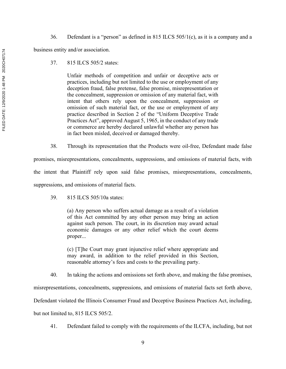36. Defendant is a "person" as defined in 815 ILCS 505/1(c), as it is a company and a

business entity and/or association.

37. 815 ILCS 505/2 states:

Unfair methods of competition and unfair or deceptive acts or practices, including but not limited to the use or employment of any deception fraud, false pretense, false promise, misrepresentation or the concealment, suppression or omission of any material fact, with intent that others rely upon the concealment, suppression or omission of such material fact, or the use or employment of any practice described in Section 2 of the "Uniform Deceptive Trade Practices Act", approved August 5, 1965, in the conduct of any trade or commerce are hereby declared unlawful whether any person has in fact been misled, deceived or damaged thereby.

38. Through its representation that the Products were oil-free, Defendant made false

promises, misrepresentations, concealments, suppressions, and omissions of material facts, with the intent that Plaintiff rely upon said false promises, misrepresentations, concealments, suppressions, and omissions of material facts.

39. 815 ILCS 505/10a states:

(a) Any person who suffers actual damage as a result of a violation of this Act committed by any other person may bring an action against such person. The court, in its discretion may award actual economic damages or any other relief which the court deems proper...

(c) [T]he Court may grant injunctive relief where appropriate and may award, in addition to the relief provided in this Section, reasonable attorney's fees and costs to the prevailing party.

40. In taking the actions and omissions set forth above, and making the false promises,

misrepresentations, concealments, suppressions, and omissions of material facts set forth above,

Defendant violated the Illinois Consumer Fraud and Deceptive Business Practices Act, including,

but not limited to, 815 ILCS 505/2.

41. Defendant failed to comply with the requirements of the ILCFA, including, but not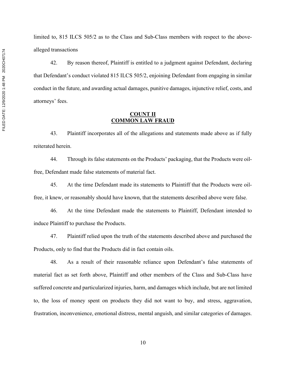limited to, 815 ILCS 505/2 as to the Class and Sub-Class members with respect to the abovealleged transactions

42. By reason thereof, Plaintiff is entitled to a judgment against Defendant, declaring that Defendant's conduct violated 815 ILCS 505/2, enjoining Defendant from engaging in similar conduct in the future, and awarding actual damages, punitive damages, injunctive relief, costs, and attorneys' fees.

#### COUNT II COMMON LAW FRAUD

43. Plaintiff incorporates all of the allegations and statements made above as if fully reiterated herein.

44. Through its false statements on the Products' packaging, that the Products were oilfree, Defendant made false statements of material fact.

45. At the time Defendant made its statements to Plaintiff that the Products were oilfree, it knew, or reasonably should have known, that the statements described above were false.

46. At the time Defendant made the statements to Plaintiff, Defendant intended to induce Plaintiff to purchase the Products.

47. Plaintiff relied upon the truth of the statements described above and purchased the Products, only to find that the Products did in fact contain oils.

48. As a result of their reasonable reliance upon Defendant's false statements of material fact as set forth above, Plaintiff and other members of the Class and Sub-Class have suffered concrete and particularized injuries, harm, and damages which include, but are not limited to, the loss of money spent on products they did not want to buy, and stress, aggravation, frustration, inconvenience, emotional distress, mental anguish, and similar categories of damages.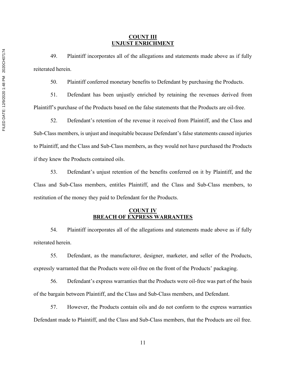#### COUNT III UNJUST ENRICHMENT

49. Plaintiff incorporates all of the allegations and statements made above as if fully reiterated herein.

50. Plaintiff conferred monetary benefits to Defendant by purchasing the Products.

51. Defendant has been unjustly enriched by retaining the revenues derived from Plaintiff's purchase of the Products based on the false statements that the Products are oil-free.

52. Defendant's retention of the revenue it received from Plaintiff, and the Class and Sub-Class members, is unjust and inequitable because Defendant's false statements caused injuries to Plaintiff, and the Class and Sub-Class members, as they would not have purchased the Products if they knew the Products contained oils.

53. Defendant's unjust retention of the benefits conferred on it by Plaintiff, and the Class and Sub-Class members, entitles Plaintiff, and the Class and Sub-Class members, to restitution of the money they paid to Defendant for the Products.

### COUNT IV BREACH OF EXPRESS WARRANTIES

54. Plaintiff incorporates all of the allegations and statements made above as if fully reiterated herein.

55. Defendant, as the manufacturer, designer, marketer, and seller of the Products, expressly warranted that the Products were oil-free on the front of the Products' packaging.

56. Defendant's express warranties that the Products were oil-free was part of the basis of the bargain between Plaintiff, and the Class and Sub-Class members, and Defendant.

57. However, the Products contain oils and do not conform to the express warranties Defendant made to Plaintiff, and the Class and Sub-Class members, that the Products are oil free.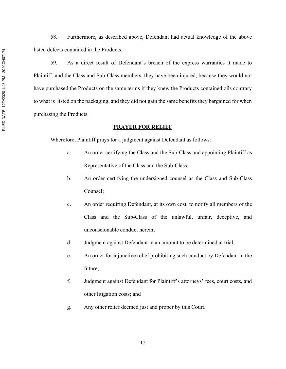FILED DATE: 12/9/2020 1:48 PM 2020CH07174 FILED DATE: 12/9/2020 1:48 PM 2020CH07174

58. Furthermore, as described above, Defendant had actual knowledge of the above listed defects contained in the Products.

59. As a direct result of Defendant's breach of the express warranties it made to Plaintiff, and the Class and Sub-Class members, they have been injured, because they would not have purchased the Products on the same terms if they knew the Products contained oils contrary to what is listed on the packaging, and they did not gain the same benefits they bargained for when purchasing the Products.

## PRAYER FOR RELIEF

Wherefore, Plaintiff prays for a judgment against Defendant as follows:

- a. An order certifying the Class and the Sub-Class and appointing Plaintiff as Representative of the Class and the Sub-Class;
- b. An order certifying the undersigned counsel as the Class and Sub-Class Counsel;
- c. An order requiring Defendant, at its own cost, to notify all members of the Class and the Sub-Class of the unlawful, unfair, deceptive, and unconscionable conduct herein;
- d. Judgment against Defendant in an amount to be determined at trial;
- e. An order for injunctive relief prohibiting such conduct by Defendant in the future;
- f. Judgment against Defendant for Plaintiff's attorneys' fees, court costs, and other litigation costs; and
- g. Any other relief deemed just and proper by this Court.